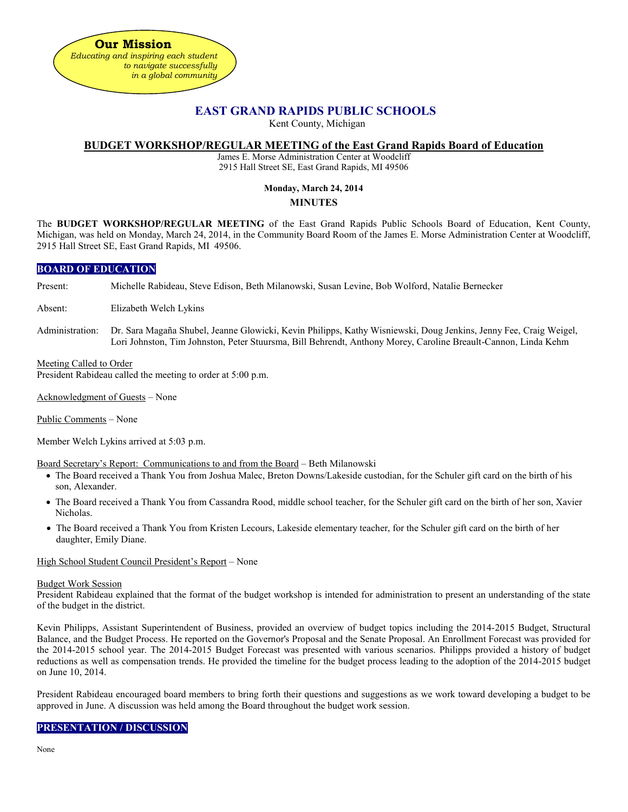

# **EAST GRAND RAPIDS PUBLIC SCHOOLS**

Kent County, Michigan

### **BUDGET WORKSHOP/REGULAR MEETING of the East Grand Rapids Board of Education**

James E. Morse Administration Center at Woodcliff 2915 Hall Street SE, East Grand Rapids, MI 49506

## **Monday, March 24, 2014**

### **MINUTES**

The **BUDGET WORKSHOP/REGULAR MEETING** of the East Grand Rapids Public Schools Board of Education, Kent County, Michigan, was held on Monday, March 24, 2014, in the Community Board Room of the James E. Morse Administration Center at Woodcliff, 2915 Hall Street SE, East Grand Rapids, MI 49506.

## **BOARD OF EDUCATION**

Present: Michelle Rabideau, Steve Edison, Beth Milanowski, Susan Levine, Bob Wolford, Natalie Bernecker

Absent: Elizabeth Welch Lykins

Administration: Dr. Sara Magaña Shubel, Jeanne Glowicki, Kevin Philipps, Kathy Wisniewski, Doug Jenkins, Jenny Fee, Craig Weigel, Lori Johnston, Tim Johnston, Peter Stuursma, Bill Behrendt, Anthony Morey, Caroline Breault-Cannon, Linda Kehm

### Meeting Called to Order

President Rabideau called the meeting to order at 5:00 p.m.

Acknowledgment of Guests – None

Public Comments – None

Member Welch Lykins arrived at 5:03 p.m.

Board Secretary's Report: Communications to and from the Board – Beth Milanowski

- The Board received a Thank You from Joshua Malec, Breton Downs/Lakeside custodian, for the Schuler gift card on the birth of his son, Alexander.
- The Board received a Thank You from Cassandra Rood, middle school teacher, for the Schuler gift card on the birth of her son, Xavier Nicholas.
- The Board received a Thank You from Kristen Lecours, Lakeside elementary teacher, for the Schuler gift card on the birth of her daughter, Emily Diane.

### High School Student Council President's Report – None

#### Budget Work Session

President Rabideau explained that the format of the budget workshop is intended for administration to present an understanding of the state of the budget in the district.

Kevin Philipps, Assistant Superintendent of Business, provided an overview of budget topics including the 2014-2015 Budget, Structural Balance, and the Budget Process. He reported on the Governor's Proposal and the Senate Proposal. An Enrollment Forecast was provided for the 2014-2015 school year. The 2014-2015 Budget Forecast was presented with various scenarios. Philipps provided a history of budget reductions as well as compensation trends. He provided the timeline for the budget process leading to the adoption of the 2014-2015 budget on June 10, 2014.

President Rabideau encouraged board members to bring forth their questions and suggestions as we work toward developing a budget to be approved in June. A discussion was held among the Board throughout the budget work session.

## **PRESENTATION / DISCUSSION**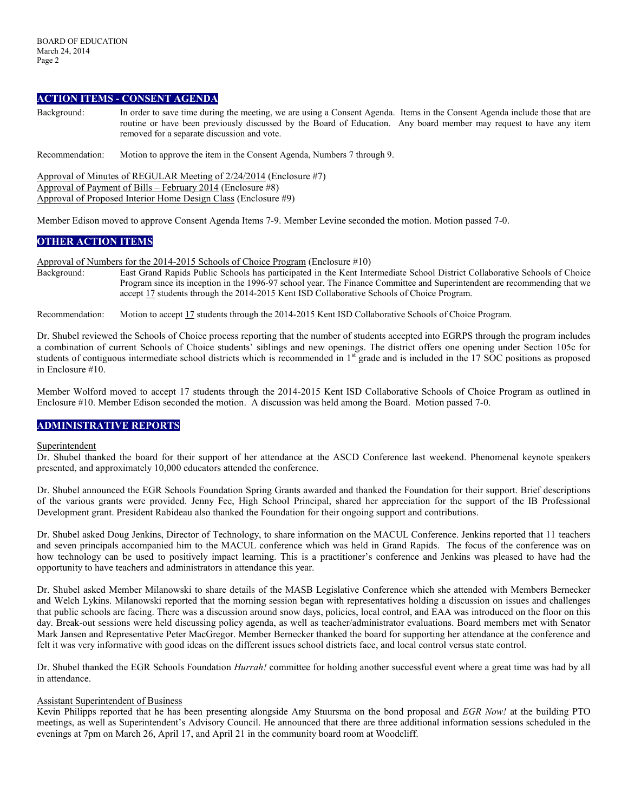## **ACTION ITEMS - CONSENT AGENDA**

Background: In order to save time during the meeting, we are using a Consent Agenda. Items in the Consent Agenda include those that are routine or have been previously discussed by the Board of Education. Any board member may request to have any item removed for a separate discussion and vote.

Recommendation: Motion to approve the item in the Consent Agenda, Numbers 7 through 9.

Approval of Minutes of REGULAR Meeting of 2/24/2014 (Enclosure #7) Approval of Payment of Bills – February 2014 (Enclosure #8) Approval of Proposed Interior Home Design Class (Enclosure #9)

Member Edison moved to approve Consent Agenda Items 7-9. Member Levine seconded the motion. Motion passed 7-0.

## **OTHER ACTION ITEMS**

Approval of Numbers for the 2014-2015 Schools of Choice Program (Enclosure #10)

Background: East Grand Rapids Public Schools has participated in the Kent Intermediate School District Collaborative Schools of Choice Program since its inception in the 1996-97 school year. The Finance Committee and Superintendent are recommending that we accept 17 students through the 2014-2015 Kent ISD Collaborative Schools of Choice Program.

Recommendation: Motion to accept 17 students through the 2014-2015 Kent ISD Collaborative Schools of Choice Program.

Dr. Shubel reviewed the Schools of Choice process reporting that the number of students accepted into EGRPS through the program includes a combination of current Schools of Choice students' siblings and new openings. The district offers one opening under Section 105c for students of contiguous intermediate school districts which is recommended in 1<sup>st</sup> grade and is included in the 17 SOC positions as proposed in Enclosure #10.

Member Wolford moved to accept 17 students through the 2014-2015 Kent ISD Collaborative Schools of Choice Program as outlined in Enclosure #10. Member Edison seconded the motion. A discussion was held among the Board. Motion passed 7-0.

## **ADMINISTRATIVE REPORTS**

### **Superintendent**

Dr. Shubel thanked the board for their support of her attendance at the ASCD Conference last weekend. Phenomenal keynote speakers presented, and approximately 10,000 educators attended the conference.

Dr. Shubel announced the EGR Schools Foundation Spring Grants awarded and thanked the Foundation for their support. Brief descriptions of the various grants were provided. Jenny Fee, High School Principal, shared her appreciation for the support of the IB Professional Development grant. President Rabideau also thanked the Foundation for their ongoing support and contributions.

Dr. Shubel asked Doug Jenkins, Director of Technology, to share information on the MACUL Conference. Jenkins reported that 11 teachers and seven principals accompanied him to the MACUL conference which was held in Grand Rapids. The focus of the conference was on how technology can be used to positively impact learning. This is a practitioner's conference and Jenkins was pleased to have had the opportunity to have teachers and administrators in attendance this year.

Dr. Shubel asked Member Milanowski to share details of the MASB Legislative Conference which she attended with Members Bernecker and Welch Lykins. Milanowski reported that the morning session began with representatives holding a discussion on issues and challenges that public schools are facing. There was a discussion around snow days, policies, local control, and EAA was introduced on the floor on this day. Break-out sessions were held discussing policy agenda, as well as teacher/administrator evaluations. Board members met with Senator Mark Jansen and Representative Peter MacGregor. Member Bernecker thanked the board for supporting her attendance at the conference and felt it was very informative with good ideas on the different issues school districts face, and local control versus state control.

Dr. Shubel thanked the EGR Schools Foundation *Hurrah!* committee for holding another successful event where a great time was had by all in attendance.

### Assistant Superintendent of Business

Kevin Philipps reported that he has been presenting alongside Amy Stuursma on the bond proposal and *EGR Now!* at the building PTO meetings, as well as Superintendent's Advisory Council. He announced that there are three additional information sessions scheduled in the evenings at 7pm on March 26, April 17, and April 21 in the community board room at Woodcliff.